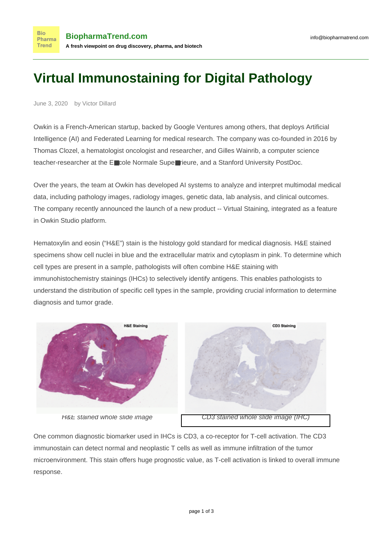## **Virtual Immunostaining for Digital Pathology**

June 3, 2020 by Victor Dillard

**Bio** 

**Trend** 

Owkin is a French-American startup, backed by Google Ventures among others, that deploys Artificial Intelligence (AI) and Federated Learning for medical research. The company was co-founded in 2016 by Thomas Clozel, a hematologist oncologist and researcher, and Gilles Wainrib, a computer science teacher-researcher at the E■cole Normale Supe■rieure, and a Stanford University PostDoc.

Over the years, the team at Owkin has developed AI systems to analyze and interpret multimodal medical data, including pathology images, radiology images, genetic data, lab analysis, and clinical outcomes. The company recently announced the launch of a new product -- [Virtual Staining,](https://owkin.com/virtual-staining/?utm_source=biopharma&utm_medium=newsletter&utm_campaign=virtual_staining) integrated as a feature in Owkin Studio platform.

Hematoxylin and eosin ("H&E") stain is the histology gold standard for medical diagnosis. H&E stained specimens show cell nuclei in blue and the extracellular matrix and cytoplasm in pink. To determine which cell types are present in a sample, pathologists will often combine H&E staining with immunohistochemistry stainings (IHCs) to selectively identify antigens. This enables pathologists to understand the distribution of specific cell types in the sample, providing crucial information to determine diagnosis and tumor grade.



One common diagnostic biomarker used in IHCs is CD3, a co-receptor for T-cell activation. The CD3 immunostain can detect normal and neoplastic T cells as well as immune infiltration of the tumor microenvironment. This stain offers huge prognostic value, as T-cell activation is linked to overall immune response.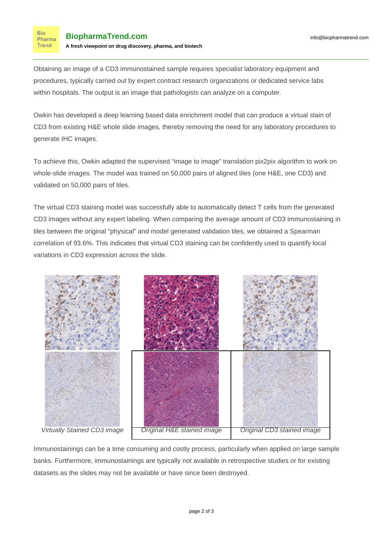**Bio** Pharma **Trend** 

Obtaining an image of a CD3 immunostained sample requires specialist laboratory equipment and procedures, typically carried out by expert contract research organizations or dedicated service labs within hospitals. The output is an image that pathologists can analyze on a computer.

[Owkin](https://www.biopharmatrend.com/m/company/owkin/) has developed a deep learning based data enrichment model that can produce a virtual stain of CD3 from existing H&E whole slide images, thereby removing the need for any laboratory procedures to generate IHC images.

To achieve this, Owkin adapted the supervised "image to image" translation pix2pix algorithm to work on whole-slide images. The model was trained on 50,000 pairs of aligned tiles (one H&E, one CD3) and validated on 50,000 pairs of tiles.

The virtual CD3 staining model was successfully able to automatically detect T cells from the generated CD3 images without any expert labeling. When comparing the average amount of CD3 immunostaining in tiles between the original "physical" and model generated validation tiles, we obtained a Spearman correlation of 93.6%. This indicates that virtual CD3 staining can be confidently used to quantify local variations in CD3 expression across the slide.



Immunostainings can be a time consuming and costly process, particularly when applied on large sample banks. Furthermore, immunostainings are typically not available in retrospective studies or for existing datasets as the slides may not be available or have since been destroyed.